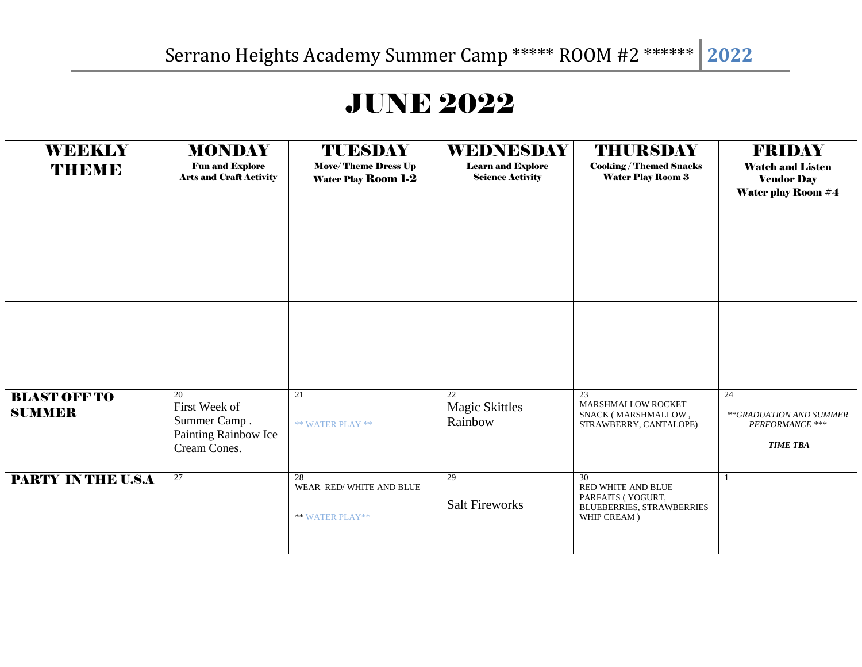## JUNE 2022

| <b>WEEKLY</b><br>THEME               | <b>MONDAY</b><br><b>Fun and Explore</b><br><b>Arts and Craft Activity</b>   | TUESDAY<br><b>Move/Theme Dress Up</b><br><b>Water Play Room 1-2</b> | <b>WEDNESDAY</b><br><b>Learn and Explore</b><br><b>Science Activity</b> | <b>THURSDAY</b><br><b>Cooking/Themed Snacks</b><br><b>Water Play Room 3</b>                      | <b>FRIDAY</b><br><b>Watch and Listen</b><br><b>Vendor Day</b><br><b>Water play Room #4</b> |
|--------------------------------------|-----------------------------------------------------------------------------|---------------------------------------------------------------------|-------------------------------------------------------------------------|--------------------------------------------------------------------------------------------------|--------------------------------------------------------------------------------------------|
|                                      |                                                                             |                                                                     |                                                                         |                                                                                                  |                                                                                            |
|                                      |                                                                             |                                                                     |                                                                         |                                                                                                  |                                                                                            |
| <b>BLAST OFF TO</b><br><b>SUMMER</b> | 20<br>First Week of<br>Summer Camp.<br>Painting Rainbow Ice<br>Cream Cones. | 21<br>** WATER PLAY **                                              | 22<br><b>Magic Skittles</b><br>Rainbow                                  | 23<br>MARSHMALLOW ROCKET<br>SNACK (MARSHMALLOW,<br>STRAWBERRY, CANTALOPE)                        | 24<br>**GRADUATION AND SUMMER<br>PERFORMANCE ***<br><b>TIME TBA</b>                        |
| <b>PARTY IN THE U.S.A</b>            | $\overline{27}$                                                             | 28<br>WEAR RED/WHITE AND BLUE<br><b>** WATER PLAY**</b>             | 29<br><b>Salt Fireworks</b>                                             | 30<br>RED WHITE AND BLUE<br>PARFAITS (YOGURT,<br><b>BLUEBERRIES, STRAWBERRIES</b><br>WHIP CREAM) |                                                                                            |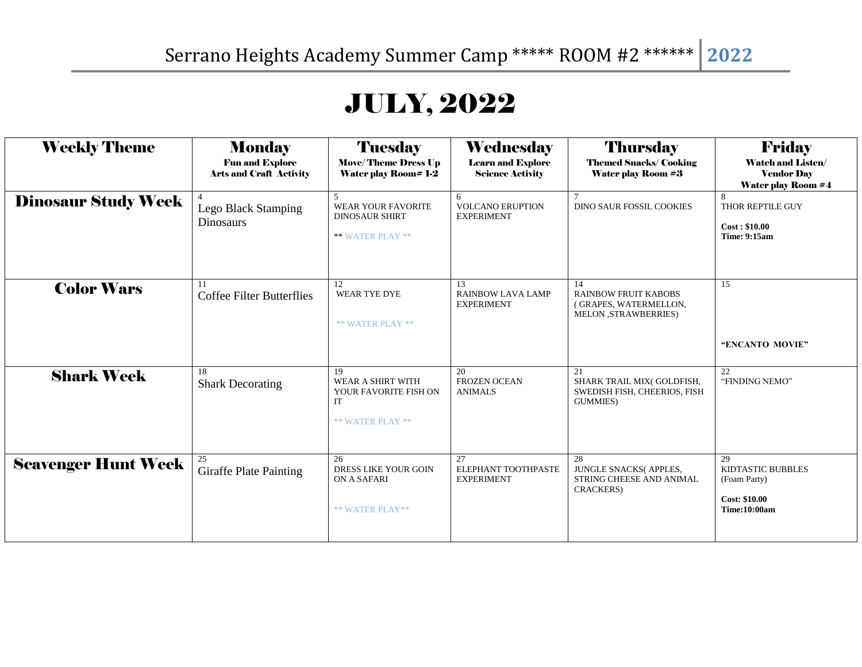## JULY, 2022

| <b>Weekly Theme</b>        | <b>Monday</b><br><b>Fun and Explore</b><br><b>Arts and Craft Activity</b> | <b>Tuesday</b><br><b>Move/Theme Dress Up</b><br><b>Water play Room# 1-2</b>       | Wednesday<br><b>Learn and Explore</b><br><b>Science Activity</b> | <b>Thursday</b><br><b>Themed Snacks/ Cooking</b><br><b>Water play Room #3</b>       | <b>Friday</b><br><b>Watch and Listen/</b><br><b>Vendor Day</b><br><b>Water play Room #4</b>   |
|----------------------------|---------------------------------------------------------------------------|-----------------------------------------------------------------------------------|------------------------------------------------------------------|-------------------------------------------------------------------------------------|-----------------------------------------------------------------------------------------------|
| <b>Dinosaur Study Week</b> | Lego Black Stamping<br><b>Dinosaurs</b>                                   | 5<br>WEAR YOUR FAVORITE<br><b>DINOSAUR SHIRT</b><br>** WATER PLAY **              | 6<br><b>VOLCANO ERUPTION</b><br><b>EXPERIMENT</b>                | <b>DINO SAUR FOSSIL COOKIES</b>                                                     | 8<br>THOR REPTILE GUY<br>Cost: \$10.00<br><b>Time: 9:15am</b>                                 |
| <b>Color Wars</b>          | 11<br><b>Coffee Filter Butterflies</b>                                    | 12<br><b>WEAR TYE DYE</b><br><b>** WATER PLAY **</b>                              | 13<br>RAINBOW LAVA LAMP<br><b>EXPERIMENT</b>                     | 14<br>RAINBOW FRUIT KABOBS<br>(GRAPES, WATERMELLON,<br>MELON , STRAWBERRIES)        | 15<br>"ENCANTO MOVIE"                                                                         |
| <b>Shark Week</b>          | 18<br><b>Shark Decorating</b>                                             | 19<br>WEAR A SHIRT WITH<br>YOUR FAVORITE FISH ON<br>IT<br><b>** WATER PLAY **</b> | 20<br><b>FROZEN OCEAN</b><br><b>ANIMALS</b>                      | 21<br>SHARK TRAIL MIX(GOLDFISH,<br>SWEDISH FISH, CHEERIOS, FISH<br><b>GUMMIES</b> ) | 22<br>"FINDING NEMO"                                                                          |
| <b>Scavenger Hunt Week</b> | 25<br><b>Giraffe Plate Painting</b>                                       | 26<br><b>DRESS LIKE YOUR GOIN</b><br>ON A SAFARI<br>** WATER PLAY**               | 27<br>ELEPHANT TOOTHPASTE<br><b>EXPERIMENT</b>                   | 28<br>JUNGLE SNACKS(APPLES,<br>STRING CHEESE AND ANIMAL<br><b>CRACKERS</b> )        | 29<br><b>KIDTASTIC BUBBLES</b><br>(Foam Party)<br><b>Cost: \$10.00</b><br><b>Time:10:00am</b> |